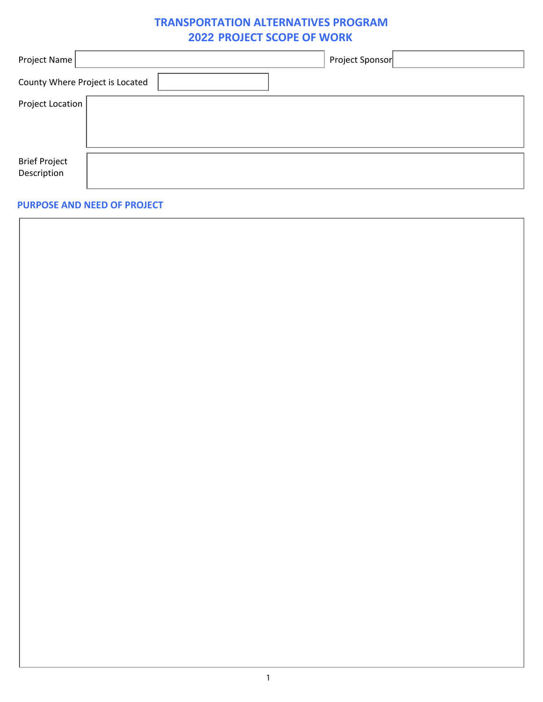# **TRANSPORTATION ALTERNATIVES PROGRAM 2022 PROJECT SCOPE OF WORK**

| Project Name                    | Project Sponsor |
|---------------------------------|-----------------|
| County Where Project is Located |                 |
| Project Location                |                 |
|                                 |                 |
|                                 |                 |
| <b>Brief Project</b>            |                 |
| Description                     |                 |
|                                 |                 |

## **PURPOSE AND NEED OF PROJECT**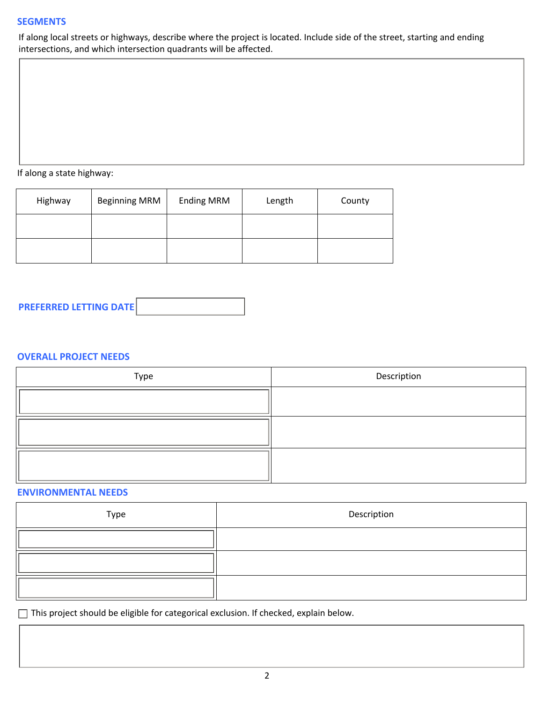## **SEGMENTS**

If along local streets or highways, describe where the project is located. Include side of the street, starting and ending intersections, and which intersection quadrants will be affected.

If along a state highway:

| Highway | <b>Beginning MRM</b> | <b>Ending MRM</b> | Length | County |
|---------|----------------------|-------------------|--------|--------|
|         |                      |                   |        |        |
|         |                      |                   |        |        |



## **OVERALL PROJECT NEEDS**

| Type | Description |
|------|-------------|
|      |             |
|      |             |
|      |             |

## **ENVIRONMENTAL NEEDS**

| Type | Description |
|------|-------------|
|      |             |
|      |             |
|      |             |

This project should be eligible for categorical exclusion. If checked, explain below.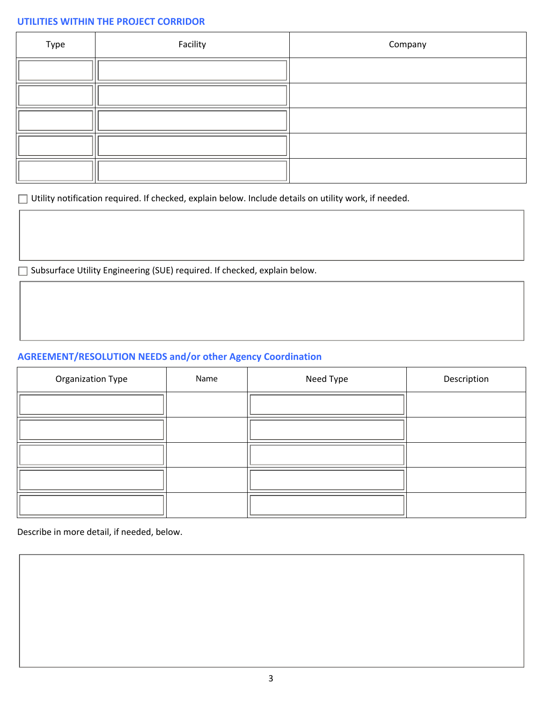# **UTILITIES WITHIN THE PROJECT CORRIDOR**

| Type           | Facility | Company |
|----------------|----------|---------|
|                |          |         |
|                |          |         |
|                |          |         |
|                |          |         |
| $\blacksquare$ |          |         |

Utility notification required. If checked, explain below. Include details on utility work, if needed.

□ Subsurface Utility Engineering (SUE) required. If checked, explain below.

# **AGREEMENT/RESOLUTION NEEDS and/or other Agency Coordination**

| <b>Organization Type</b> | Name | Need Type | Description |
|--------------------------|------|-----------|-------------|
|                          |      |           |             |
|                          |      |           |             |
|                          |      |           |             |
|                          |      |           |             |
|                          |      |           |             |

Describe in more detail, if needed, below.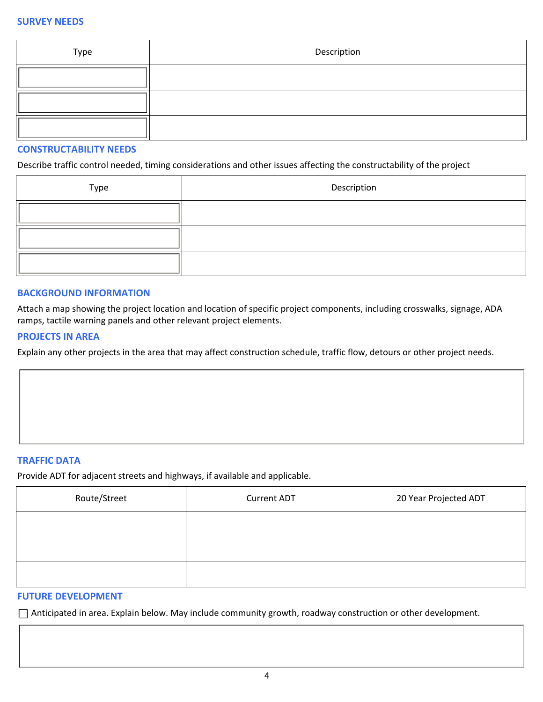| Type | Description |
|------|-------------|
|      |             |
|      |             |
|      |             |

#### **CONSTRUCTABILITY NEEDS**

Describe traffic control needed, timing considerations and other issues affecting the constructability of the project

| Type | Description |
|------|-------------|
|      |             |
|      |             |
|      |             |

#### **BACKGROUND INFORMATION**

Attach a map showing the project location and location of specific project components, including crosswalks, signage, ADA ramps, tactile warning panels and other relevant project elements.

#### **PROJECTS IN AREA**

Explain any other projects in the area that may affect construction schedule, traffic flow, detours or other project needs.

#### **TRAFFIC DATA**

Provide ADT for adjacent streets and highways, if available and applicable.

| Route/Street | <b>Current ADT</b> | 20 Year Projected ADT |
|--------------|--------------------|-----------------------|
|              |                    |                       |
|              |                    |                       |
|              |                    |                       |

#### **FUTURE DEVELOPMENT**

Anticipated in area. Explain below. May include community growth, roadway construction or other development.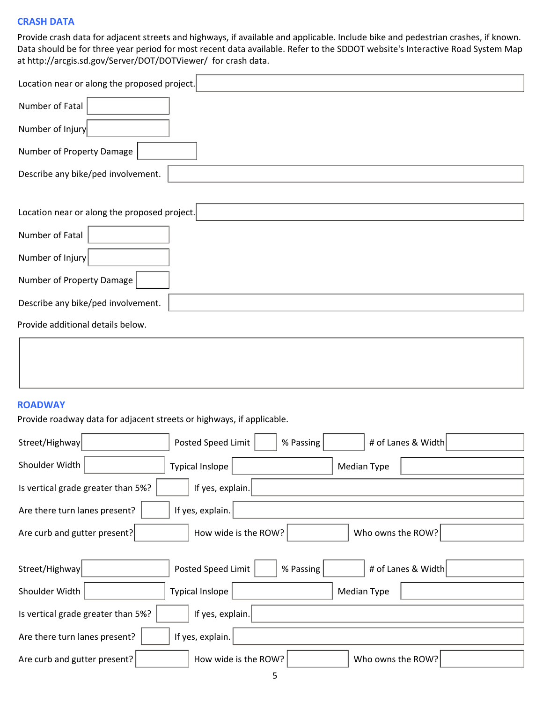#### **CRASH DATA**

Provide crash data for adjacent streets and highways, if available and applicable. Include bike and pedestrian crashes, if known. Data should be for three year period for most recent data available. Refer to the SDDOT website's Interactive Road System Map at http://arcgis.sd.gov/Server/DOT/DOTViewer/ for crash data.

| Location near or along the proposed project. |
|----------------------------------------------|
| Number of Fatal                              |
| Number of Injury                             |
| Number of Property Damage                    |
| Describe any bike/ped involvement.           |
|                                              |
| Location near or along the proposed project. |
| Number of Fatal                              |
| Number of Injury                             |
| Number of Property Damage                    |
| Describe any bike/ped involvement.           |
| Provide additional details below.            |

#### **ROADWAY**

Provide roadway data for adjacent streets or highways, if applicable.

| Street/Highway                     | Posted Speed Limit     | % Passing   | # of Lanes & Width |  |
|------------------------------------|------------------------|-------------|--------------------|--|
| Shoulder Width                     | <b>Typical Inslope</b> | Median Type |                    |  |
| Is vertical grade greater than 5%? | If yes, explain.       |             |                    |  |
| Are there turn lanes present?      | If yes, explain.       |             |                    |  |
| Are curb and gutter present?       | How wide is the ROW?   |             | Who owns the ROW?  |  |
|                                    |                        |             |                    |  |
| Street/Highway                     | Posted Speed Limit     | % Passing   | # of Lanes & Width |  |
| Shoulder Width                     | <b>Typical Inslope</b> | Median Type |                    |  |
| Is vertical grade greater than 5%? | If yes, explain.       |             |                    |  |
| Are there turn lanes present?      | If yes, explain.       |             |                    |  |
| Are curb and gutter present?       | How wide is the ROW?   |             | Who owns the ROW?  |  |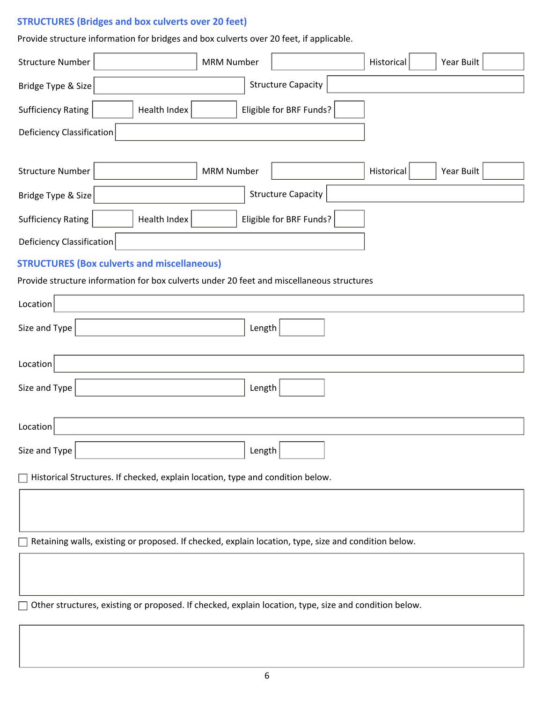# **STRUCTURES (Bridges and box culverts over 20 feet)**

Provide structure information for bridges and box culverts over 20 feet, if applicable.

| <b>Structure Number</b>                                                                               | <b>MRM Number</b> |                           | Historical | Year Built |  |
|-------------------------------------------------------------------------------------------------------|-------------------|---------------------------|------------|------------|--|
| Bridge Type & Size                                                                                    |                   | <b>Structure Capacity</b> |            |            |  |
| <b>Sufficiency Rating</b><br>Health Index                                                             |                   | Eligible for BRF Funds?   |            |            |  |
| <b>Deficiency Classification</b>                                                                      |                   |                           |            |            |  |
|                                                                                                       |                   |                           |            |            |  |
| <b>Structure Number</b>                                                                               | <b>MRM Number</b> |                           | Historical | Year Built |  |
| Bridge Type & Size                                                                                    |                   | <b>Structure Capacity</b> |            |            |  |
| <b>Sufficiency Rating</b><br>Health Index                                                             |                   | Eligible for BRF Funds?   |            |            |  |
| Deficiency Classification                                                                             |                   |                           |            |            |  |
| <b>STRUCTURES (Box culverts and miscellaneous)</b>                                                    |                   |                           |            |            |  |
| Provide structure information for box culverts under 20 feet and miscellaneous structures             |                   |                           |            |            |  |
| Location                                                                                              |                   |                           |            |            |  |
| Size and Type                                                                                         | Length            |                           |            |            |  |
| Location                                                                                              |                   |                           |            |            |  |
| Size and Type                                                                                         | Length            |                           |            |            |  |
| Location                                                                                              |                   |                           |            |            |  |
| Size and Type                                                                                         | Length            |                           |            |            |  |
| Historical Structures. If checked, explain location, type and condition below.                        |                   |                           |            |            |  |
|                                                                                                       |                   |                           |            |            |  |
| Retaining walls, existing or proposed. If checked, explain location, type, size and condition below.  |                   |                           |            |            |  |
|                                                                                                       |                   |                           |            |            |  |
| Other structures, existing or proposed. If checked, explain location, type, size and condition below. |                   |                           |            |            |  |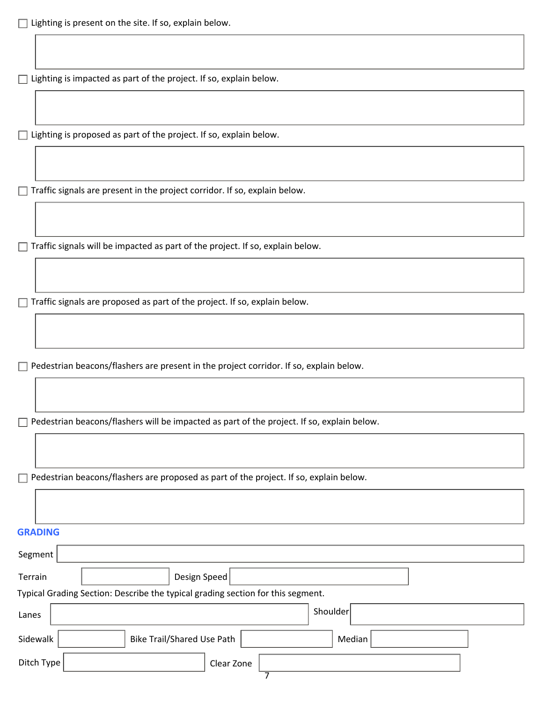$\Box$  Lighting is impacted as part of the project. If so, explain below.

 $\Box$  Lighting is proposed as part of the project. If so, explain below.

 $\Box$  Traffic signals are present in the project corridor. If so, explain below.

 $\Box$  Traffic signals will be impacted as part of the project. If so, explain below.

 $\Box$  Traffic signals are proposed as part of the project. If so, explain below.

 $\Box$  Pedestrian beacons/flashers are present in the project corridor. If so, explain below.

 $\Box$  Pedestrian beacons/flashers will be impacted as part of the project. If so, explain below.

 $\Box$  Pedestrian beacons/flashers are proposed as part of the project. If so, explain below.

| <b>GRADING</b> |                                                                                 |
|----------------|---------------------------------------------------------------------------------|
| Segment        |                                                                                 |
| Terrain        | Design Speed<br>$\blacktriangledown$                                            |
|                | Typical Grading Section: Describe the typical grading section for this segment. |
| Lanes          | Shoulder                                                                        |
| Sidewalk       | <b>Bike Trail/Shared Use Path</b><br>Median                                     |
| Ditch Type     | Clear Zone<br>$\overline{\phantom{a}}$                                          |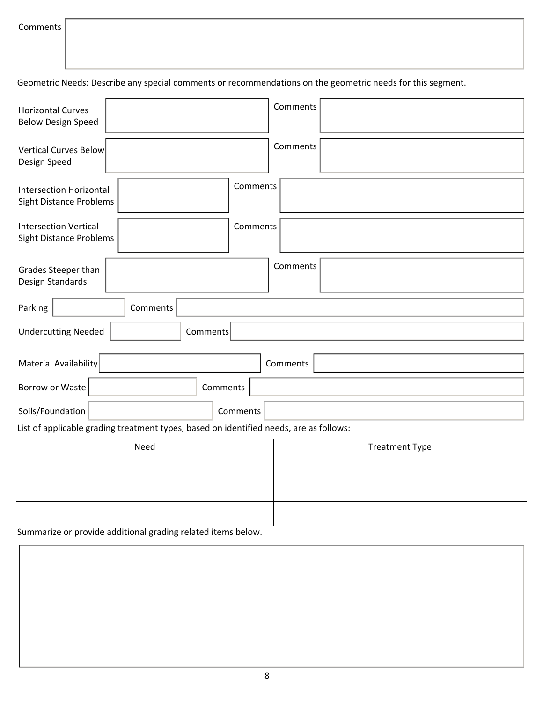Geometric Needs: Describe any special comments or recommendations on the geometric needs for this segment.

| <b>Horizontal Curves</b><br><b>Below Design Speed</b>            |                                                                                        | Comments              |
|------------------------------------------------------------------|----------------------------------------------------------------------------------------|-----------------------|
| Vertical Curves Below<br>Design Speed                            |                                                                                        | Comments              |
| <b>Intersection Horizontal</b><br><b>Sight Distance Problems</b> | Comments                                                                               |                       |
| <b>Intersection Vertical</b><br>Sight Distance Problems          | Comments                                                                               |                       |
| Grades Steeper than<br>Design Standards                          |                                                                                        | Comments              |
| Parking                                                          | Comments<br>$\blacktriangledown$                                                       |                       |
| <b>Undercutting Needed</b>                                       | Comments<br>$\blacktriangledown$                                                       |                       |
| <b>Material Availability</b>                                     | $\blacktriangledown$                                                                   | Comments              |
| Borrow or Waste                                                  | Comments<br>$\overline{\phantom{0}}$                                                   |                       |
| Soils/Foundation                                                 | Comments                                                                               |                       |
|                                                                  | List of applicable grading treatment types, based on identified needs, are as follows: |                       |
|                                                                  | Need                                                                                   | <b>Treatment Type</b> |
|                                                                  | $\overline{\phantom{a}}$                                                               |                       |
|                                                                  | $\blacksquare$                                                                         |                       |
|                                                                  | $\overline{\phantom{a}}$                                                               |                       |

Summarize or provide additional grading related items below.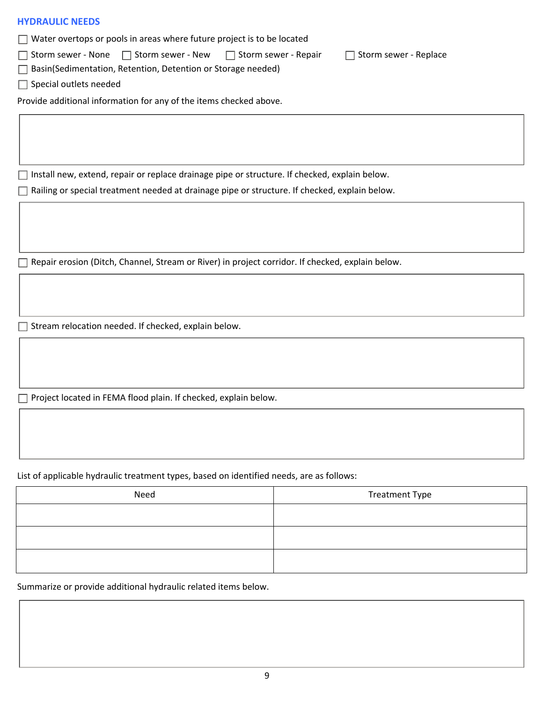#### **HYDRAULIC NEEDS**

 $\Box$  Water overtops or pools in areas where future project is to be located

 $\Box$  Storm sewer - None  $\Box$  Storm sewer - New  $\Box$  Storm sewer - Repair  $\Box$  Storm sewer - Replace

□ Basin(Sedimentation, Retention, Detention or Storage needed)

 $\Box$  Special outlets needed

Provide additional information for any of the items checked above.

 $\Box$  Install new, extend, repair or replace drainage pipe or structure. If checked, explain below.

□ Railing or special treatment needed at drainage pipe or structure. If checked, explain below.

Repair erosion (Ditch, Channel, Stream or River) in project corridor. If checked, explain below.

 $\Box$  Stream relocation needed. If checked, explain below.

 $\Box$  Project located in FEMA flood plain. If checked, explain below.

List of applicable hydraulic treatment types, based on identified needs, are as follows:

| Need | <b>Treatment Type</b> |
|------|-----------------------|
|      |                       |
|      |                       |
|      |                       |

Summarize or provide additional hydraulic related items below.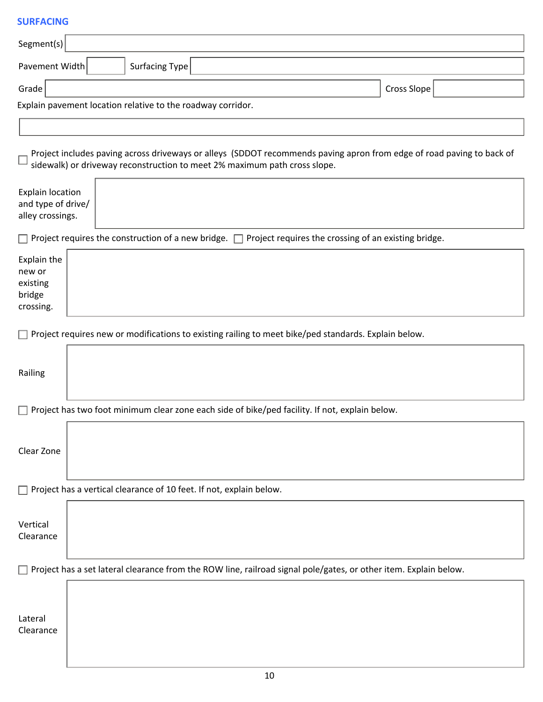## **SURFACING**

| Segment(s)                                                        |             |  |                                                             |                                                                                                                                                                                                    |  |  |
|-------------------------------------------------------------------|-------------|--|-------------------------------------------------------------|----------------------------------------------------------------------------------------------------------------------------------------------------------------------------------------------------|--|--|
| Pavement Width                                                    |             |  | <b>Surfacing Type</b>                                       |                                                                                                                                                                                                    |  |  |
| Grade                                                             | Cross Slope |  |                                                             |                                                                                                                                                                                                    |  |  |
|                                                                   |             |  | Explain pavement location relative to the roadway corridor. |                                                                                                                                                                                                    |  |  |
|                                                                   |             |  |                                                             |                                                                                                                                                                                                    |  |  |
|                                                                   |             |  |                                                             | Project includes paving across driveways or alleys (SDDOT recommends paving apron from edge of road paving to back of<br>sidewalk) or driveway reconstruction to meet 2% maximum path cross slope. |  |  |
| <b>Explain location</b><br>and type of drive/<br>alley crossings. |             |  |                                                             |                                                                                                                                                                                                    |  |  |
|                                                                   |             |  |                                                             | $\Box$ Project requires the construction of a new bridge. $\Box$ Project requires the crossing of an existing bridge.                                                                              |  |  |
| Explain the<br>new or<br>existing<br>bridge<br>crossing.          |             |  |                                                             |                                                                                                                                                                                                    |  |  |
|                                                                   |             |  |                                                             | Project requires new or modifications to existing railing to meet bike/ped standards. Explain below.                                                                                               |  |  |
| Railing                                                           |             |  |                                                             |                                                                                                                                                                                                    |  |  |
|                                                                   |             |  |                                                             | $\Box$ Project has two foot minimum clear zone each side of bike/ped facility. If not, explain below.                                                                                              |  |  |
| Clear Zone                                                        |             |  |                                                             |                                                                                                                                                                                                    |  |  |
|                                                                   |             |  |                                                             | $\Box$ Project has a vertical clearance of 10 feet. If not, explain below.                                                                                                                         |  |  |
| Vertical<br>Clearance                                             |             |  |                                                             |                                                                                                                                                                                                    |  |  |
|                                                                   |             |  |                                                             | $\Box$ Project has a set lateral clearance from the ROW line, railroad signal pole/gates, or other item. Explain below.                                                                            |  |  |
| Lateral<br>Clearance                                              |             |  |                                                             |                                                                                                                                                                                                    |  |  |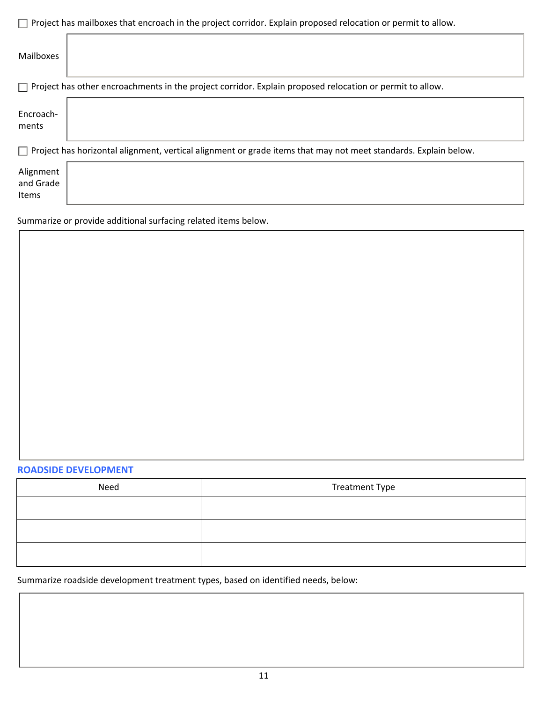| $\Box$ Project has mailboxes that encroach in the project corridor. Explain proposed relocation or permit to allow.    |  |  |  |  |
|------------------------------------------------------------------------------------------------------------------------|--|--|--|--|
| Mailboxes                                                                                                              |  |  |  |  |
| $\Box$ Project has other encroachments in the project corridor. Explain proposed relocation or permit to allow.        |  |  |  |  |
| Encroach-<br>ments                                                                                                     |  |  |  |  |
| $\Box$ Project has horizontal alignment, vertical alignment or grade items that may not meet standards. Explain below. |  |  |  |  |
| Alignment<br>and Grade<br><b>Items</b>                                                                                 |  |  |  |  |

Summarize or provide additional surfacing related items below.

#### **ROADSIDE DEVELOPMENT**

| Need | <b>Treatment Type</b> |
|------|-----------------------|
|      |                       |
|      |                       |
|      |                       |

# Summarize roadside development treatment types, based on identified needs, below: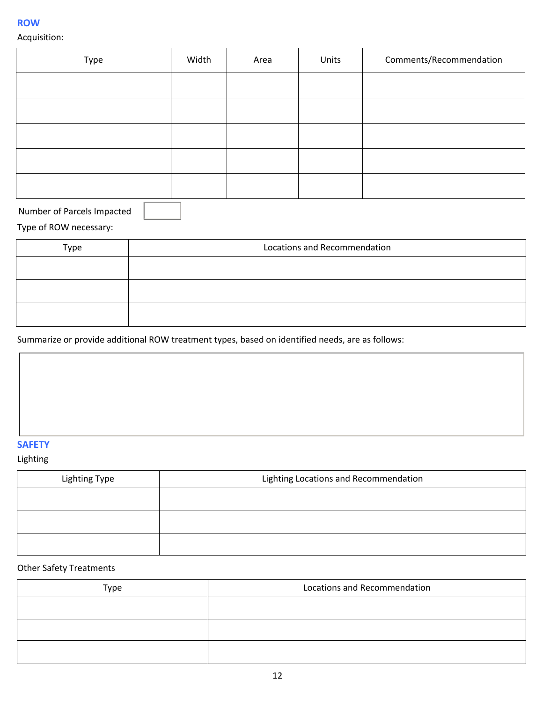#### **ROW**

# Acquisition:

| Type | Width | Area | Units | Comments/Recommendation |
|------|-------|------|-------|-------------------------|
|      |       |      |       |                         |
|      |       |      |       |                         |
|      |       |      |       |                         |
|      |       |      |       |                         |
|      |       |      |       |                         |

Number of Parcels Impacted

# Type of ROW necessary:

| Type | Locations and Recommendation |
|------|------------------------------|
|      |                              |
|      |                              |
|      |                              |

Summarize or provide additional ROW treatment types, based on identified needs, are as follows:

# **SAFETY**

## Lighting

| Lighting Type | Lighting Locations and Recommendation |
|---------------|---------------------------------------|
|               |                                       |
|               |                                       |
|               |                                       |

# Other Safety Treatments

| Type | Locations and Recommendation |
|------|------------------------------|
|      |                              |
|      |                              |
|      |                              |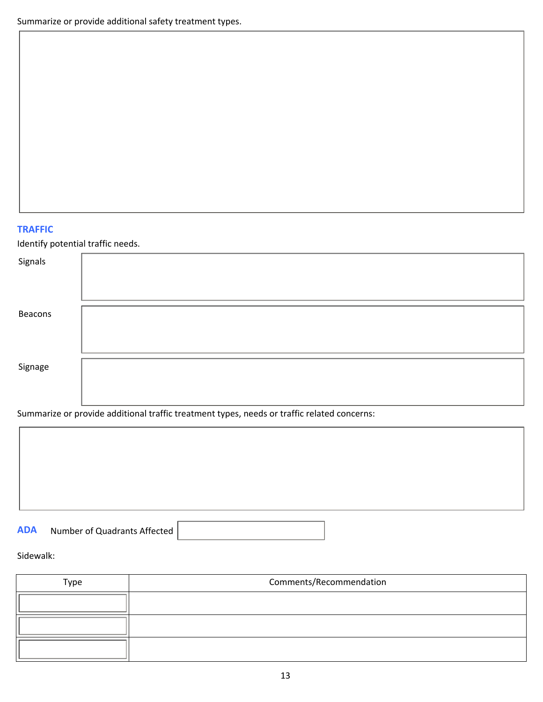## **TRAFFIC**

Identify potential traffic needs.

| Signals |  |
|---------|--|
|         |  |
| Beacons |  |
|         |  |
| Signage |  |
|         |  |

Summarize or provide additional traffic treatment types, needs or traffic related concerns:

| <b>ADA</b> | Number of Quadrants Affected |  |
|------------|------------------------------|--|
|            |                              |  |

## Sidewalk:

| Type | Comments/Recommendation |  |  |
|------|-------------------------|--|--|
|      |                         |  |  |
|      |                         |  |  |
|      |                         |  |  |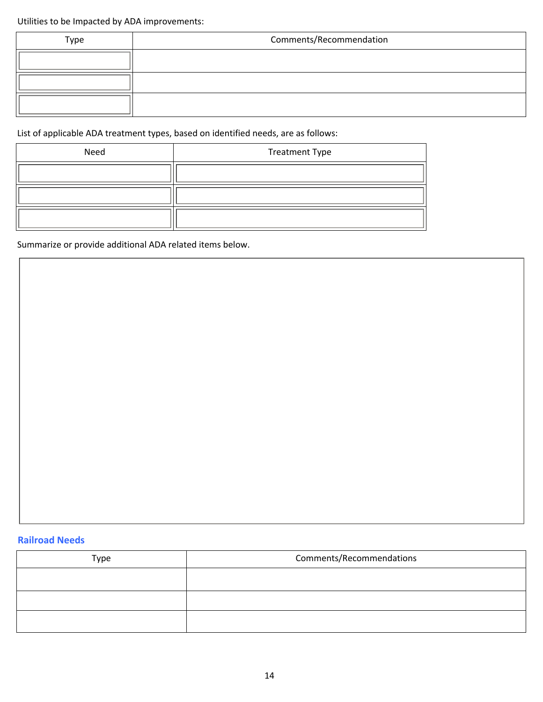Utilities to be Impacted by ADA improvements:

| Type | Comments/Recommendation |  |  |
|------|-------------------------|--|--|
|      |                         |  |  |
|      |                         |  |  |
|      |                         |  |  |

List of applicable ADA treatment types, based on identified needs, are as follows:

| Need | <b>Treatment Type</b> |
|------|-----------------------|
|      |                       |
|      |                       |
|      |                       |

Summarize or provide additional ADA related items below.

# **Railroad Needs**

| <b>Type</b> | Comments/Recommendations |  |
|-------------|--------------------------|--|
|             |                          |  |
|             |                          |  |
|             |                          |  |